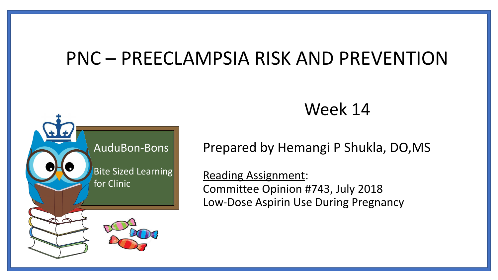#### PNC – PREECLAMPSIA RISK AND PREVENTION



Week 14

Prepared by Hemangi P Shukla, DO,MS

Reading Assignment: Committee Opinion #743, July 2018 Low-Dose Aspirin Use During Pregnancy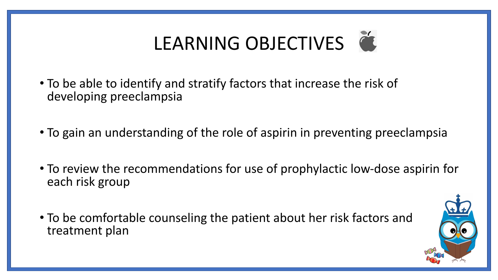# LEARNING OBJECTIVES

- To be able to identify and stratify factors that increase the risk of developing preeclampsia
- To gain an understanding of the role of aspirin in preventing preeclampsia
- To review the recommendations for use of prophylactic low-dose aspirin for each risk group
- To be comfortable counseling the patient about her risk factors and treatment plan

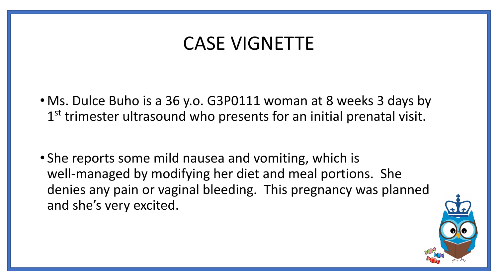### CASE VIGNETTE

- Ms. Dulce Buho is a 36 y.o. G3P0111 woman at 8 weeks 3 days by 1<sup>st</sup> trimester ultrasound who presents for an initial prenatal visit.
- She reports some mild nausea and vomiting, which is well-managed by modifying her diet and meal portions. She denies any pain or vaginal bleeding. This pregnancy was planned and she's very excited.

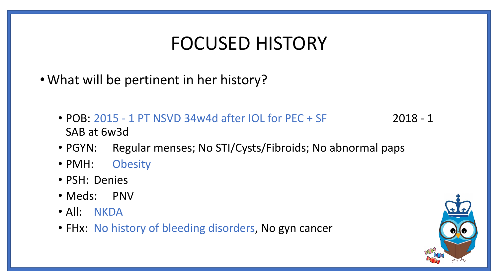### FOCUSED HISTORY

- •What will be pertinent in her history?
	- POB: 2015 1 PT NSVD 34w4d after IOL for PEC + SF 2018 1 SAB at 6w3d
	- PGYN: Regular menses; No STI/Cysts/Fibroids; No abnormal paps
	- PMH: Obesity
	- PSH: Denies
	- Meds: PNV
	- All: NKDA
	- FHx: No history of bleeding disorders, No gyn cancer

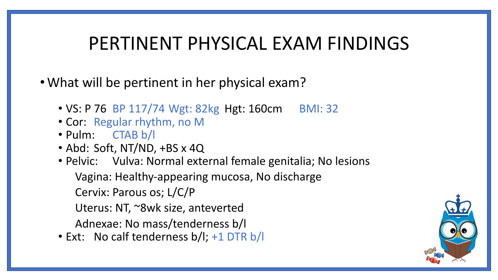#### PERTINENT PHYSICAL EXAM FINDINGS

- What will be pertinent in her physical exam?
	- VS: P 76 BP 117/74 Wgt: 82kg Hgt: 160cm BMI: 32
	- Cor: Regular rhythm, no M
	- Pulm: CTAB b/l
	- Abd: Soft, NT/ND, +BS x 4Q
	- Pelvic: Vulva: Normal external female genitalia; No lesions Vagina: Healthy-appearing mucosa, No discharge Cervix: Parous os; L/C/P
		- Uterus: NT, ~8wk size, anteverted
		- Adnexae: No mass/tenderness b/l
	- Ext: No calf tenderness b/l; +1 DTR b/l

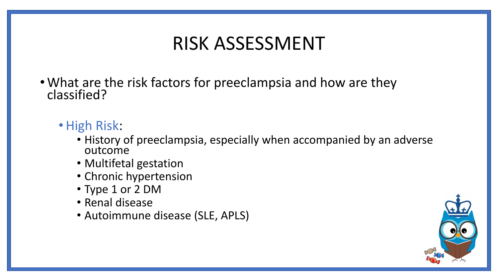# RISK ASSESSMENT

- What are the risk factors for preeclampsia and how are they classified?
	- •High Risk:
		- History of preeclampsia, especially when accompanied by an adverse outcome
		- Multifetal gestation
		- Chronic hypertension
		- Type 1 or 2 DM
		- Renal disease
		- Autoimmune disease (SLE, APLS)

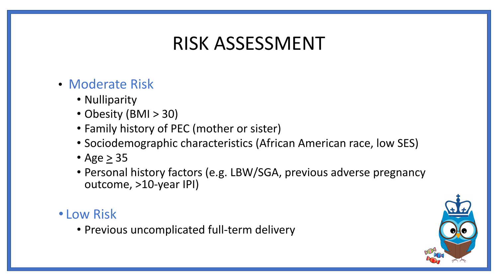# RISK ASSESSMENT

- Moderate Risk
	- Nulliparity
	- Obesity (BMI > 30)
	- Family history of PEC (mother or sister)
	- Sociodemographic characteristics (African American race, low SES)
	- Age  $\geq$  35
	- Personal history factors (e.g. LBW/SGA, previous adverse pregnancy outcome, >10-year IPI)

#### • Low Risk

• Previous uncomplicated full-term delivery

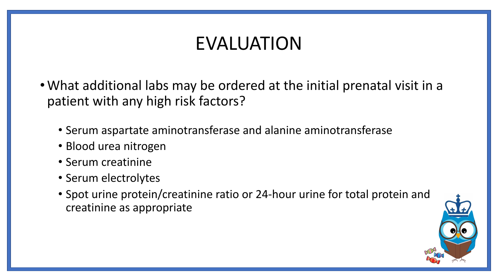# EVALUATION

- •What additional labs may be ordered at the initial prenatal visit in a patient with any high risk factors?
	- Serum aspartate aminotransferase and alanine aminotransferase
	- Blood urea nitrogen
	- Serum creatinine
	- Serum electrolytes
	- Spot urine protein/creatinine ratio or 24-hour urine for total protein and creatinine as appropriate

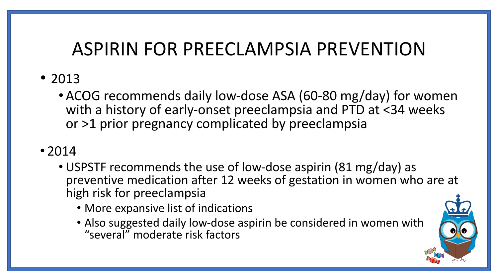# ASPIRIN FOR PREECLAMPSIA PREVENTION

- 2013
	- •ACOG recommends daily low-dose ASA (60-80 mg/day) for women with a history of early-onset preeclampsia and PTD at <34 weeks or >1 prior pregnancy complicated by preeclampsia

#### • 2014

- USPSTF recommends the use of low-dose aspirin (81 mg/day) as preventive medication after 12 weeks of gestation in women who are at high risk for preeclampsia
	- More expansive list of indications
	- Also suggested daily low-dose aspirin be considered in women with "several" moderate risk factors

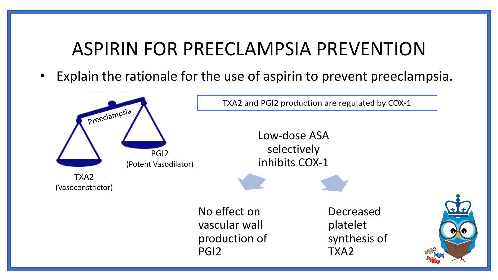# ASPIRIN FOR PREECLAMPSIA PREVENTION

Explain the rationale for the use of aspirin to prevent preeclampsia.

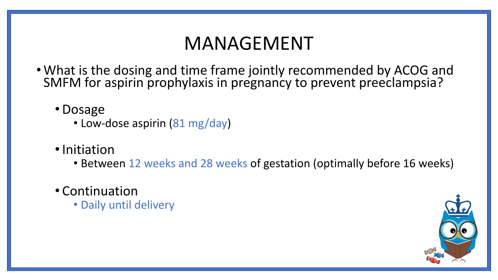# MANAGEMENT

- What is the dosing and time frame jointly recommended by ACOG and SMFM for aspirin prophylaxis in pregnancy to prevent preeclampsia?
	- •Dosage
		- Low-dose aspirin (81 mg/day)
	- •Initiation
		- Between 12 weeks and 28 weeks of gestation (optimally before 16 weeks)
	- Continuation
		- Daily until delivery

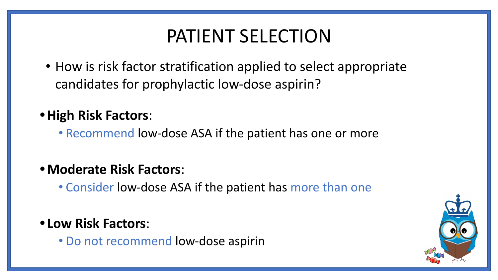# PATIENT SELECTION

• How is risk factor stratification applied to select appropriate candidates for prophylactic low-dose aspirin?

#### **•High Risk Factors**:

• Recommend low-dose ASA if the patient has one or more

#### **•Moderate Risk Factors**:

• Consider low-dose ASA if the patient has more than one

#### **• Low Risk Factors**:

• Do not recommend low-dose aspirin

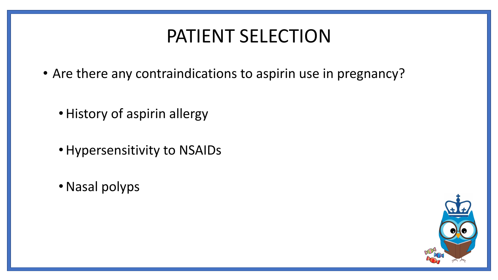# PATIENT SELECTION

- Are there any contraindications to aspirin use in pregnancy?
	- •History of aspirin allergy
	- •Hypersensitivity to NSAIDs
	- •Nasal polyps

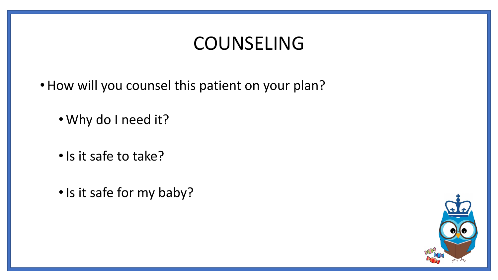### COUNSELING

- How will you counsel this patient on your plan?
	- •Why do I need it?
	- •Is it safe to take?
	- •Is it safe for my baby?

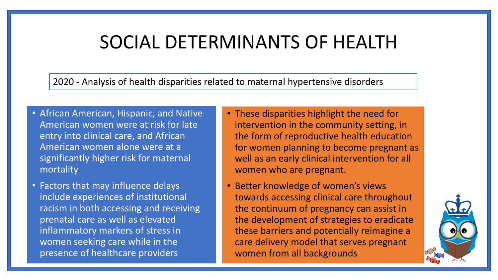#### SOCIAL DETERMINANTS OF HEALTH

2020 - Analysis of health disparities related to maternal hypertensive disorders

- African American, Hispanic, and Native American women were at risk for late entry into clinical care, and African American women alone were at a significantly higher risk for maternal mortality
- Factors that may influence delays include experiences of institutional racism in both accessing and receiving prenatal care as well as elevated inflammatory markers of stress in women seeking care while in the presence of healthcare providers
- These disparities highlight the need for intervention in the community setting, in the form of reproductive health education for women planning to become pregnant as well as an early clinical intervention for all women who are pregnant.
- Better knowledge of women's views towards accessing clinical care throughout the continuum of pregnancy can assist in the development of strategies to eradicate these barriers and potentially reimagine a care delivery model that serves pregnant women from all backgrounds

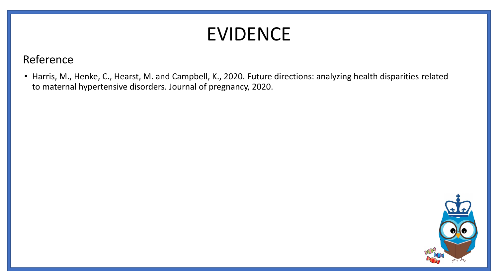## EVIDENCE

#### Reference

• Harris, M., Henke, C., Hearst, M. and Campbell, K., 2020. Future directions: analyzing health disparities related to maternal hypertensive disorders. Journal of pregnancy, 2020.

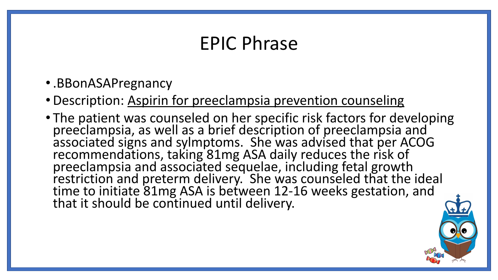### EPIC Phrase

- •.BBonASAPregnancy
- Description: Aspirin for preeclampsia prevention counseling
- The patient was counseled on her specific risk factors for developing preeclampsia, as well as a brief description of preeclampsia and associated signs and sylmptoms. She was advised that per ACOG recommendations, taking 81mg ASA daily reduces the risk of preeclampsia and associated sequelae, including fetal growth restriction and preterm delivery. She was counseled that the ideal time to initiate 81mg ASA is between 12-16 weeks gestation, and that it should be continued until delivery.